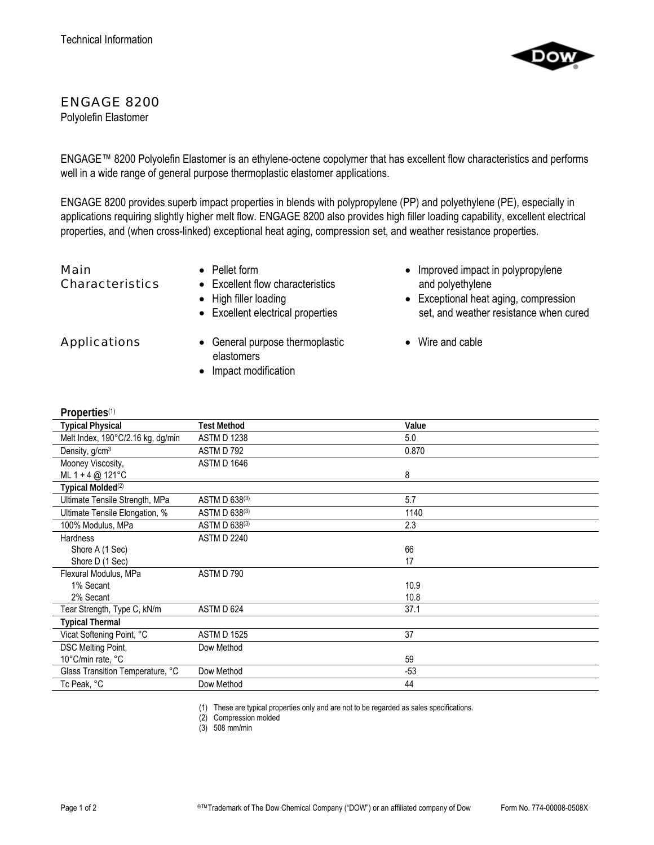

## ENGAGE 8200

Polyolefin Elastomer

ENGAGE™ 8200 Polyolefin Elastomer is an ethylene-octene copolymer that has excellent flow characteristics and performs well in a wide range of general purpose thermoplastic elastomer applications.

ENGAGE 8200 provides superb impact properties in blends with polypropylene (PP) and polyethylene (PE), especially in applications requiring slightly higher melt flow. ENGAGE 8200 also provides high filler loading capability, excellent electrical properties, and (when cross-linked) exceptional heat aging, compression set, and weather resistance properties.

Main Characteristics

- Pellet form
- Excellent flow characteristics
- High filler loading
- Excellent electrical properties

- Applications General purpose thermoplastic elastomers
	- Impact modification
- Improved impact in polypropylene and polyethylene
- Exceptional heat aging, compression set, and weather resistance when cured
- Wire and cable

| Properties <sup>(1)</sup> |  |
|---------------------------|--|
|                           |  |

| <b>Properties</b>                 |                    |       |
|-----------------------------------|--------------------|-------|
| <b>Typical Physical</b>           | <b>Test Method</b> | Value |
| Melt Index, 190°C/2.16 kg, dg/min | <b>ASTM D 1238</b> | 5.0   |
| Density, g/cm <sup>3</sup>        | ASTM D 792         | 0.870 |
| Mooney Viscosity,                 | ASTM D 1646        |       |
| ML $1 + 4$ @ 121°C                |                    | 8     |
| Typical Molded <sup>(2)</sup>     |                    |       |
| Ultimate Tensile Strength, MPa    | ASTM D 638(3)      | 5.7   |
| Ultimate Tensile Elongation, %    | ASTM D 638(3)      | 1140  |
| 100% Modulus, MPa                 | ASTM D 638(3)      | 2.3   |
| <b>Hardness</b>                   | <b>ASTM D 2240</b> |       |
| Shore A (1 Sec)                   |                    | 66    |
| Shore D (1 Sec)                   |                    | 17    |
| Flexural Modulus, MPa             | ASTM D 790         |       |
| 1% Secant                         |                    | 10.9  |
| 2% Secant                         |                    | 10.8  |
| Tear Strength, Type C, kN/m       | ASTM D 624         | 37.1  |
| <b>Typical Thermal</b>            |                    |       |
| Vicat Softening Point, °C         | <b>ASTM D 1525</b> | 37    |
| DSC Melting Point,                | Dow Method         |       |
| 10°C/min rate, °C                 |                    | 59    |
| Glass Transition Temperature, °C  | Dow Method         | $-53$ |
| Tc Peak, °C                       | Dow Method         | 44    |
|                                   |                    |       |

(1) These are typical properties only and are not to be regarded as sales specifications.

(2) Compression molded

(3) 508 mm/min